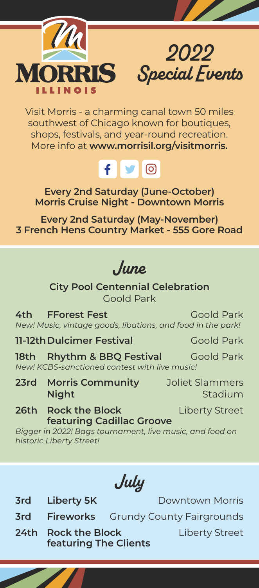



Visit Morris - a charming canal town 50 miles southwest of Chicago known for boutiques, shops, festivals, and year-round recreation. More info at **www.morrisil.org/visitmorris.**



**Every 2nd Saturday (June-October) Morris Cruise Night - Downtown Morris**

**Every 2nd Saturday (May-November) 3 French Hens Country Market - 555 Gore Road**

*June*

**City Pool Centennial Celebration** Goold Park

**4th FForest Fest Goold Park** *New! Music, vintage goods, libations, and food in the park!*

**11-12th Dulcimer Festival** Goold Park

18th **Rhythm & BBQ Festival** Goold Park *New! KCBS-sanctioned contest with live music!*

**23rd Morris Community** Joliet Slammers **Night** Stadium

**26th Rock the Block Liberty Street featuring Cadillac Groove**

*Bigger in 2022! Bags tournament, live music, and food on historic Liberty Street!* 

*July*

**3rd Liberty 5K Downtown Morris** 

- **3rd Fireworks** Grundy County Fairgrounds
- **24th Rock the Block Liberty Street featuring The Clients**